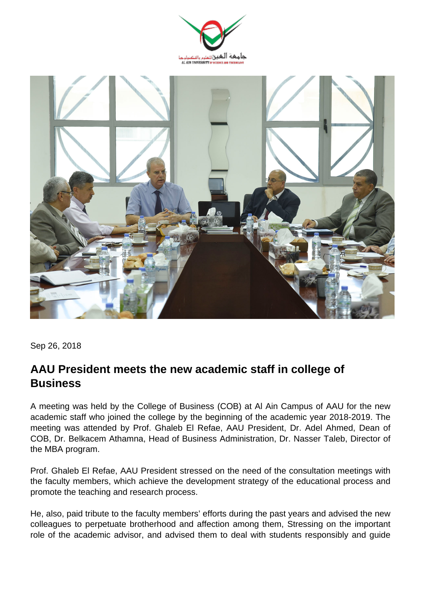



Sep 26, 2018

## **AAU President meets the new academic staff in college of Business**

A meeting was held by the College of Business (COB) at Al Ain Campus of AAU for the new academic staff who joined the college by the beginning of the academic year 2018-2019. The meeting was attended by Prof. Ghaleb El Refae, AAU President, Dr. Adel Ahmed, Dean of COB, Dr. Belkacem Athamna, Head of Business Administration, Dr. Nasser Taleb, Director of the MBA program.

Prof. Ghaleb El Refae, AAU President stressed on the need of the consultation meetings with the faculty members, which achieve the development strategy of the educational process and promote the teaching and research process.

He, also, paid tribute to the faculty members' efforts during the past years and advised the new colleagues to perpetuate brotherhood and affection among them, Stressing on the important role of the academic advisor, and advised them to deal with students responsibly and guide